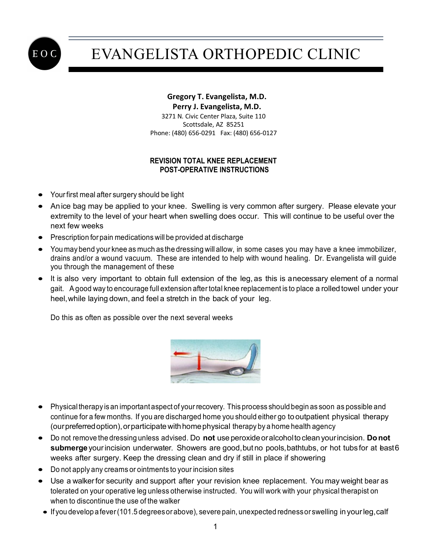

## EVANGELISTA ORTHOPEDIC CLINIC

## **Gregory T. Evangelista, M.D. Perry J. Evangelista, M.D.**

 3271 N. Civic Center Plaza, Suite 110 Scottsdale, AZ 85251 Phone: (480) 656-0291 Fax: (480) 656-0127

## **REVISION TOTAL KNEE REPLACEMENT POST-OPERATIVE INSTRUCTIONS**

- Yourfirst meal after surgery should be light
- Anice bag may be applied to your knee. Swelling is very common after surgery. Please elevate your extremity to the level of your heart when swelling does occur. This will continue to be useful over the next few weeks
- Prescription for pain medications will be provided at discharge
- You may bend your knee as much as the dressing will allow, in some cases you may have a knee immobilizer, drains and/or a wound vacuum. These are intended to help with wound healing. Dr. Evangelista will guide you through the management of these
- It is also very important to obtain full extension of the leg, as this is anecessary element of a normal gait. Agood way to encourage full extension after total knee replacement is to place a rolled towel under your heel,while laying down, and feel a stretch in the back of your leg.

Do this as often as possible over the next several weeks



- Physicaltherapy is an important aspect of your recovery. This process should begin as soon as possible and continue for a few months. If you are discharged home you should either go to outpatient physical therapy (ourpreferredoption),orparticipatewithhomephysical therapy by a home health agency
- Do not remove the dressing unless advised. Do **not** use peroxideoralcoholto clean yourincision. **Donot** submerge your incision underwater. Showers are good, but no pools, bathtubs, or hot tubs for at bast 6 weeks after surgery. Keep the dressing clean and dry if still in place if showering
- Do not apply any creams or ointments to your incision sites
- Use a walker for security and support after your revision knee replacement. You may weight bear as tolerated on your operative leg unless otherwise instructed. You will work with your physical therapist on when to discontinue the use of the walker
- If you develop afever(101.5 degreesor above), severe pain, unexpected rednessor swelling in yourleg,calf